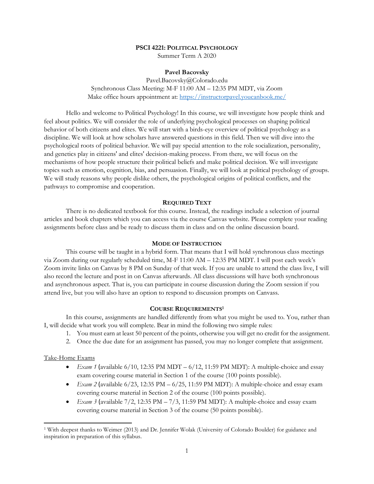# **PSCI 4221: POLITICAL PSYCHOLOGY**

Summer Term A 2020

### **Pavel Bacovsky**

Pavel.Bacovsky@Colorado.edu Synchronous Class Meeting: M-F 11:00 AM – 12:35 PM MDT, via Zoom Make office hours appointment at:<https://instructorpavel.youcanbook.me/>

Hello and welcome to Political Psychology! In this course, we will investigate how people think and feel about politics. We will consider the role of underlying psychological processes on shaping political behavior of both citizens and elites. We will start with a birds-eye overview of political psychology as a discipline. We will look at how scholars have answered questions in this field. Then we will dive into the psychological roots of political behavior. We will pay special attention to the role socialization, personality, and genetics play in citizens' and elites' decision-making process. From there, we will focus on the mechanisms of how people structure their political beliefs and make political decision. We will investigate topics such as emotion, cognition, bias, and persuasion. Finally, we will look at political psychology of groups. We will study reasons why people dislike others, the psychological origins of political conflicts, and the pathways to compromise and cooperation.

### **REQUIRED TEXT**

There is no dedicated textbook for this course. Instead, the readings include a selection of journal articles and book chapters which you can access via the course Canvas website. Please complete your reading assignments before class and be ready to discuss them in class and on the online discussion board.

### **MODE OF INSTRUCTION**

This course will be taught in a hybrid form. That means that I will hold synchronous class meetings via Zoom during our regularly scheduled time, M-F 11:00 AM – 12:35 PM MDT. I will post each week's Zoom invite links on Canvas by 8 PM on Sunday of that week. If you are unable to attend the class live, I will also record the lecture and post in on Canvas afterwards. All class discussions will have both synchronous and asynchronous aspect. That is, you can participate in course discussion during the Zoom session if you attend live, but you will also have an option to respond to discussion prompts on Canvass.

### **COURSE REQUIREMENTS<sup>1</sup>**

In this course, assignments are handled differently from what you might be used to. You, rather than I, will decide what work you will complete. Bear in mind the following two simple rules:

- 1. You must earn at least 50 percent of the points, otherwise you will get no credit for the assignment.
- 2. Once the due date for an assignment has passed, you may no longer complete that assignment.

#### Take-Home Exams

- *Exam 1* (available  $6/10$ , 12:35 PM MDT  $6/12$ , 11:59 PM MDT): A multiple-choice and essay exam covering course material in Section 1 of the course (100 points possible).
- *Exam 2* (available  $6/23$ , 12:35 PM  $6/25$ , 11:59 PM MDT): A multiple-choice and essay exam covering course material in Section 2 of the course (100 points possible).
- *Exam 3* (available  $7/2$ , 12:35 PM  $7/3$ , 11:59 PM MDT): A multiple-choice and essay exam covering course material in Section 3 of the course (50 points possible).

<sup>1</sup> With deepest thanks to Weimer (2013) and Dr. Jennifer Wolak (University of Colorado Boulder) for guidance and inspiration in preparation of this syllabus.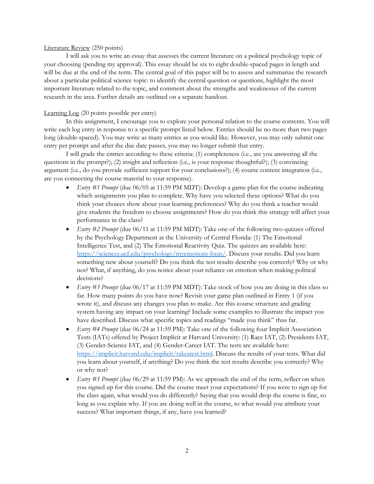## Literature Review (250 points)

I will ask you to write an essay that assesses the current literature on a political psychology topic of your choosing (pending my approval). This essay should be six to eight double-spaced pages in length and will be due at the end of the term. The central goal of this paper will be to assess and summarize the research about a particular political science topic: to identify the central question or questions, highlight the most important literature related to the topic, and comment about the strengths and weaknesses of the current research in the area. Further details are outlined on a separate handout.

# Learning Log (20 points possible per entry)

In this assignment, I encourage you to explore your personal relation to the course contents. You will write each log entry in response to a specific prompt listed below. Entries should be no more than two pages long (double-spaced). You may write as many entries as you would like. However, you may only submit one entry per prompt and after the due date passes, you may no longer submit that entry.

I will grade the entries according to these criteria: (1) completeness (i.e., are you answering all the questions in the prompt?); (2) insight and reflection (i.e., is your response thoughtful?); (3) convincing argument (i.e., do you provide sufficient support for your conclusions?); (4) course content integration (i.e., are you connecting the course material to your response).

- *Entry #1 Prompt* (due 06/05 at 11:59 PM MDT): Develop a game plan for the course indicating which assignments you plan to complete. Why have you selected these options? What do you think your choices show about your learning preferences? Why do you think a teacher would give students the freedom to choose assignments? How do you think this strategy will affect your performance in the class?
- *Entry* #2 *Prompt* (due 06/11 at 11:59 PM MDT): Take one of the following two quizzes offered by the Psychology Department at the University of Central Florida: (1) The Emotional Intelligence Test, and (2) The Emotional Reactivity Quiz. The quizzes are available here: [https://sciences.ucf.edu/psychology/myemotions-hxus/.](https://sciences.ucf.edu/psychology/myemotions-hxus/) Discuss your results. Did you learn something new about yourself? Do you think the test results describe you correctly? Why or why not? What, if anything, do you notice about your reliance on emotion when making political decisions?
- *Entry #3 Prompt* (due 06/17 at 11:59 PM MDT): Take stock of how you are doing in this class so far. How many points do you have now? Revisit your game plan outlined in Entry 1 (if you wrote it), and discuss any changes you plan to make. Are this course structure and grading system having any impact on your learning? Include some examples to illustrate the impact you have described. Discuss what specific topics and readings "made you think" thus far.
- *Entry #4 Prompt* (due 06/24 at 11:59 PM): Take one of the following four Implicit Association Tests (IATs) offered by Project Implicit at Harvard University: (1) Race IAT, (2) Presidents IAT, (3) Gender-Science IAT, and (4) Gender-Career IAT. The tests are available here: [https://implicit.harvard.edu/implicit/takeatest.html.](https://implicit.harvard.edu/implicit/takeatest.html) Discuss the results of your tests. What did you learn about yourself, if anything? Do you think the test results describe you correctly? Why or why not?
- *Entry #5 Prompt* (due 06/29 at 11:59 PM): As we approach the end of the term, reflect on when you signed up for this course. Did the course meet your expectations? If you were to sign up for the class again, what would you do differently? Saying that you would drop the course is fine, so long as you explain why. If you are doing well in the course, to what would you attribute your success? What important things, if any, have you learned?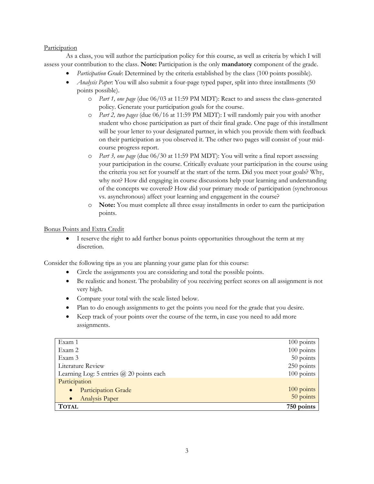# Participation

As a class, you will author the participation policy for this course, as well as criteria by which I will assess your contribution to the class. **Note:** Participation is the only **mandatory** component of the grade.

- *Participation Grade*: Determined by the criteria established by the class (100 points possible).
- *Analysis Paper*: You will also submit a four-page typed paper, split into three installments (50 points possible).
	- o *Part 1, one page* (due 06/03 at 11:59 PM MDT): React to and assess the class-generated policy. Generate your participation goals for the course.
	- o *Part 2, two pages* (due 06/16 at 11:59 PM MDT): I will randomly pair you with another student who chose participation as part of their final grade. One page of this installment will be your letter to your designated partner, in which you provide them with feedback on their participation as you observed it. The other two pages will consist of your midcourse progress report.
	- o *Part 3, one page* (due 06/30 at 11:59 PM MDT): You will write a final report assessing your participation in the course. Critically evaluate your participation in the course using the criteria you set for yourself at the start of the term. Did you meet your goals? Why, why not? How did engaging in course discussions help your learning and understanding of the concepts we covered? How did your primary mode of participation (synchronous vs. asynchronous) affect your learning and engagement in the course?
	- o **Note:** You must complete all three essay installments in order to earn the participation points.

# Bonus Points and Extra Credit

I reserve the right to add further bonus points opportunities throughout the term at my discretion.

Consider the following tips as you are planning your game plan for this course:

- Circle the assignments you are considering and total the possible points.
- Be realistic and honest. The probability of you receiving perfect scores on all assignment is not very high.
- Compare your total with the scale listed below.
- Plan to do enough assignments to get the points you need for the grade that you desire.
- Keep track of your points over the course of the term, in case you need to add more assignments.

| Exam 1                                       | 100 points   |
|----------------------------------------------|--------------|
| Exam 2                                       | 100 points   |
| Exam 3                                       | 50 points    |
| Literature Review                            | 250 points   |
| Learning Log: 5 entries $(a)$ 20 points each | $100$ points |
| Participation                                |              |
| Participation Grade<br>$\bullet$             | 100 points   |
| Analysis Paper<br>$\bullet$                  | 50 points    |
| <b>TOTAL</b>                                 | 750 points   |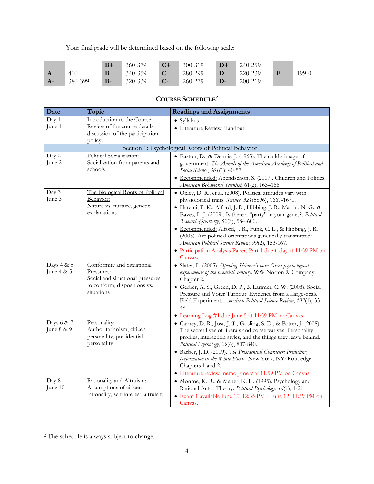Your final grade will be determined based on the following scale:

|             |         | $B+$ | 360-379 | $C+$ | 300-319 | $D+$ | 240-259 |         |
|-------------|---------|------|---------|------|---------|------|---------|---------|
| $\mathbf A$ | $400+$  | B    | 340-359 | C    | 280-299 |      | 220-239 | $199-0$ |
| $A-$        | 380-399 | $B-$ | 320-339 |      | 260-279 |      | 200-219 |         |

| Date                     | Topic                                                                                                                      | <b>Readings and Assignments</b>                                                                                                                                                                                                                                                                                                                                                                                                                                                                                                                                         |
|--------------------------|----------------------------------------------------------------------------------------------------------------------------|-------------------------------------------------------------------------------------------------------------------------------------------------------------------------------------------------------------------------------------------------------------------------------------------------------------------------------------------------------------------------------------------------------------------------------------------------------------------------------------------------------------------------------------------------------------------------|
| Day 1<br>June 1          | Introduction to the Course:<br>Review of the course details,<br>discussion of the participation<br>policy.                 | · Syllabus<br>· Literature Review Handout                                                                                                                                                                                                                                                                                                                                                                                                                                                                                                                               |
|                          |                                                                                                                            | Section 1: Psychological Roots of Political Behavior                                                                                                                                                                                                                                                                                                                                                                                                                                                                                                                    |
| Day 2<br>June 2          | Political Socialization:<br>Socialization from parents and<br>schools                                                      | • Easton, D., & Dennis, J. (1965). The child's image of<br>government. The Annals of the American Academy of Political and<br>Social Science, 361(1), 40-57.<br>· Recommended: Abendschön, S. (2017). Children and Politics.<br>American Behavioral Scientist, 61(2), 163-166.                                                                                                                                                                                                                                                                                          |
| Day 3<br>June 3          | The Biological Roots of Political<br>Behavior:<br>Nature vs. nurture, genetic<br>explanations                              | · Oxley, D. R., et al. (2008). Political attitudes vary with<br>physiological traits. Science, 321(5896), 1667-1670.<br>· Hatemi, P. K., Alford, J. R., Hibbing, J. R., Martin, N. G., &<br>Eaves, L. J. (2009). Is there a "party" in your genes?. Political<br>Research Quarterly, 62(3), 584-600.<br>· Recommended: Alford, J. R., Funk, C. L., & Hibbing, J. R.<br>(2005). Are political orientations genetically transmitted?.<br>American Political Science Review, 99(2), 153-167.<br>· Participation Analysis Paper, Part 1 due today at 11:59 PM on<br>Canvas. |
| Days 4 & 5<br>June 4 & 5 | Conformity and Situational<br>Pressures:<br>Social and situational pressures<br>to conform, dispositions vs.<br>situations | · Slater, L. (2005). Opening Skinner's box: Great psychological<br>experiments of the twentieth century. WW Norton & Company.<br>Chapter 2.<br>Gerber, A. S., Green, D. P., & Larimer, C. W. (2008). Social<br>Pressure and Voter Turnout: Evidence from a Large-Scale<br>Field Experiment. American Political Science Review, 102(1), 33-<br>48.<br>• Learning Log #1 due June 5 at 11:59 PM on Canvas.                                                                                                                                                                |
| Days 6 & 7<br>June 8 & 9 | Personality:<br>Authoritarianism, citizen<br>personality, presidential<br>personality                                      | • Carney, D. R., Jost, J. T., Gosling, S. D., & Potter, J. (2008).<br>The secret lives of liberals and conservatives: Personality<br>profiles, interaction styles, and the things they leave behind.<br>Political Psychology, 29(6), 807-840.<br>• Barber, J. D. (2009). The Presidential Character: Predicting<br>performance in the White House. New York, NY: Routledge.<br>Chapters 1 and 2.<br>• Literature review memo June 9 at 11:59 PM on Canvas.                                                                                                              |
| Day 8<br>June 10         | Rationality and Altruism:<br>Assumptions of citizen<br>rationality, self-interest, altruism                                | · Monroe, K. R., & Maher, K. H. (1995). Psychology and<br>Rational Actor Theory. Political Psychology, 16(1), 1-21.<br>· Exam 1 available June 10, 12:35 PM - June 12, 11:59 PM on<br>Canvas.                                                                                                                                                                                                                                                                                                                                                                           |

# **COURSE SCHEDULE<sup>2</sup>**

<sup>&</sup>lt;sup>2</sup> The schedule is always subject to change.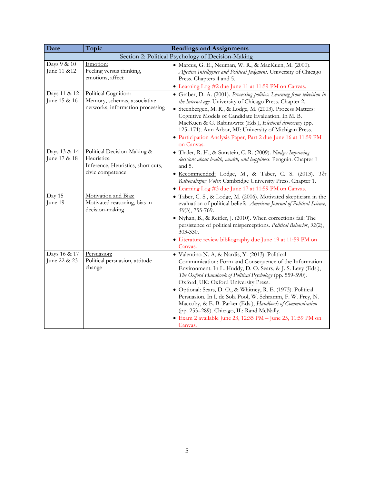| Date                                               | Topic                                                                                                | <b>Readings and Assignments</b>                                                                                                                                                                                                                                                                                                                                                                                                                                                                                                                                                                   |  |  |
|----------------------------------------------------|------------------------------------------------------------------------------------------------------|---------------------------------------------------------------------------------------------------------------------------------------------------------------------------------------------------------------------------------------------------------------------------------------------------------------------------------------------------------------------------------------------------------------------------------------------------------------------------------------------------------------------------------------------------------------------------------------------------|--|--|
| Section 2: Political Psychology of Decision-Making |                                                                                                      |                                                                                                                                                                                                                                                                                                                                                                                                                                                                                                                                                                                                   |  |  |
| Days 9 & 10<br>June 11 & 12                        | Emotion:<br>Feeling versus thinking,<br>emotions, affect                                             | · Marcus, G. E., Neuman, W. R., & MacKuen, M. (2000).<br>Affective Intelligence and Political Judgment. University of Chicago<br>Press. Chapters 4 and 5.<br>• Learning Log #2 due June 11 at 11:59 PM on Canvas.                                                                                                                                                                                                                                                                                                                                                                                 |  |  |
| Days 11 & 12<br>June 15 & 16                       | Political Cognition:<br>Memory, schemas, associative<br>networks, information processing             | • Graber, D. A. (2001). Processing politics: Learning from television in<br>the Internet age. University of Chicago Press. Chapter 2.<br>• Steenbergen, M. R., & Lodge, M. (2003). Process Matters:<br>Cognitive Models of Candidate Evaluation. In M. B.<br>MacKuen & G. Rabinowitz (Eds.), Electoral democracy (pp.<br>125-171). Ann Arbor, MI: University of Michigan Press.<br>• Participation Analysis Paper, Part 2 due June 16 at 11:59 PM<br>on Canvas.                                                                                                                                   |  |  |
| Days 13 & 14<br>June 17 & 18                       | Political Decision-Making &<br>Heuristics:<br>Inference, Heuristics, short cuts,<br>civic competence | · Thaler, R. H., & Sunstein, C. R. (2009). Nudge: Improving<br>decisions about health, wealth, and happiness. Penguin. Chapter 1<br>and 5.<br>· Recommended: Lodge, M., & Taber, C. S. (2013). The<br>Rationalizing Voter. Cambridge University Press. Chapter 1.<br>• Learning Log #3 due June 17 at 11:59 PM on Canvas.                                                                                                                                                                                                                                                                         |  |  |
| Day 15<br>June 19                                  | Motivation and Bias:<br>Motivated reasoning, bias in<br>decision-making                              | · Taber, C. S., & Lodge, M. (2006). Motivated skepticism in the<br>evaluation of political beliefs. American Journal of Political Science,<br>$50(3)$ , 755-769.<br>· Nyhan, B., & Reifler, J. (2010). When corrections fail: The<br>persistence of political misperceptions. Political Behavior, 32(2),<br>303-330.<br>• Literature review bibliography due June 19 at 11:59 PM on<br>Canvas.                                                                                                                                                                                                    |  |  |
| Days 16 & 17<br>June 22 & 23                       | Persuasion:<br>Political persuasion, attitude<br>change                                              | · Valentino N. A, & Nardis, Y. (2013). Political<br>Communication: Form and Consequence of the Information<br>Environment. In L. Huddy, D. O. Sears, & J. S. Levy (Eds.),<br>The Oxford Handbook of Political Psychology (pp. 559-590).<br>Oxford, UK: Oxford University Press.<br>· Optional: Sears, D. O., & Whitney, R. E. (1973). Political<br>Persuasion. In I. de Sola Pool, W. Schramm, F. W. Frey, N.<br>Maccoby, & E. B. Parker (Eds.), Handbook of Communication<br>(pp. 253-289). Chicago, IL: Rand McNally.<br>· Exam 2 available June 23, 12:35 PM - June 25, 11:59 PM on<br>Canvas. |  |  |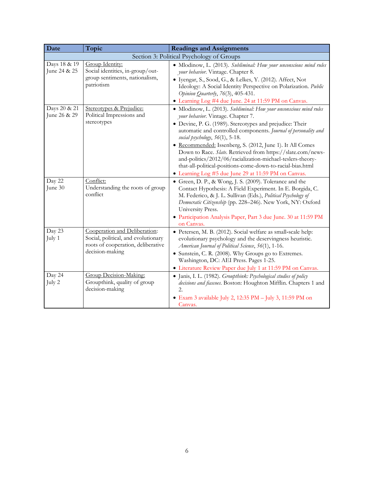| Date                                      | Topic                                                                                                                         | <b>Readings and Assignments</b>                                                                                                                                                                                                                                                                                                                                                                                                                                                                                                                                                            |  |  |
|-------------------------------------------|-------------------------------------------------------------------------------------------------------------------------------|--------------------------------------------------------------------------------------------------------------------------------------------------------------------------------------------------------------------------------------------------------------------------------------------------------------------------------------------------------------------------------------------------------------------------------------------------------------------------------------------------------------------------------------------------------------------------------------------|--|--|
| Section 3: Political Psychology of Groups |                                                                                                                               |                                                                                                                                                                                                                                                                                                                                                                                                                                                                                                                                                                                            |  |  |
| Days 18 & 19<br>June 24 & 25              | Group Identity:<br>Social identities, in-group/out-<br>group sentiments, nationalism,<br>patriotism                           | • Mlodinow, L. (2013). Subliminal: How your unconscious mind rules<br>your behavior. Vintage. Chapter 8.<br>• Iyengar, S., Sood, G., & Lelkes, Y. (2012). Affect, Not<br>Ideology: A Social Identity Perspective on Polarization. Public<br>Opinion Quarterly, 76(3), 405-431.<br>• Learning Log #4 due June. 24 at 11:59 PM on Canvas.                                                                                                                                                                                                                                                    |  |  |
| Days 20 & 21<br>June 26 & 29              | Stereotypes & Prejudice:<br>Political Impressions and<br>stereotypes                                                          | • Mlodinow, L. (2013). Subliminal: How your unconscious mind rules<br>your behavior. Vintage. Chapter 7.<br>· Devine, P. G. (1989). Stereotypes and prejudice: Their<br>automatic and controlled components. Journal of personality and<br>social psychology, 56(1), 5-18.<br>· Recommended: Issenberg, S. (2012, June 1). It All Comes<br>Down to Race. Slate. Retrieved from https://slate.com/news-<br>and-politics/2012/06/racialization-michael-teslers-theory-<br>that-all-political-positions-come-down-to-racial-bias.html<br>• Learning Log #5 due June 29 at 11:59 PM on Canvas. |  |  |
| Day 22<br>June 30                         | Conflict:<br>Understanding the roots of group<br>conflict                                                                     | • Green, D. P., & Wong, J. S. (2009). Tolerance and the<br>Contact Hypothesis: A Field Experiment. In E. Borgida, C.<br>M. Federico, & J. L. Sullivan (Eds.), Political Psychology of<br>Democratic Citizenship (pp. 228-246). New York, NY: Oxford<br>University Press.<br>· Participation Analysis Paper, Part 3 due June. 30 at 11:59 PM<br>on Canvas.                                                                                                                                                                                                                                  |  |  |
| Day 23<br>July 1                          | Cooperation and Deliberation:<br>Social, political, and evolutionary<br>roots of cooperation, deliberative<br>decision-making | · Petersen, M. B. (2012). Social welfare as small-scale help:<br>evolutionary psychology and the deservingness heuristic.<br>American Journal of Political Science, 56(1), 1-16.<br>• Sunstein, C. R. (2008). Why Groups go to Extremes.<br>Washington, DC: AEI Press. Pages 1-25.<br>• Literature Review Paper due July 1 at 11:59 PM on Canvas.                                                                                                                                                                                                                                          |  |  |
| Day 24<br>July 2                          | Group Decision-Making:<br>Groupthink, quality of group<br>decision-making                                                     | • Janis, I. L. (1982). Groupthink: Psychological studies of policy<br>decisions and fiascoes. Boston: Houghton Mifflin. Chapters 1 and<br>2.<br>· Exam 3 available July 2, 12:35 PM - July 3, 11:59 PM on<br>Canvas.                                                                                                                                                                                                                                                                                                                                                                       |  |  |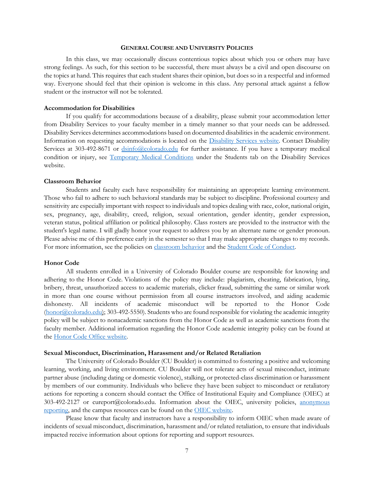### **GENERAL COURSE AND UNIVERSITY POLICIES**

In this class, we may occasionally discuss contentious topics about which you or others may have strong feelings. As such, for this section to be successful, there must always be a civil and open discourse on the topics at hand. This requires that each student shares their opinion, but does so in a respectful and informed way. Everyone should feel that their opinion is welcome in this class. Any personal attack against a fellow student or the instructor will not be tolerated.

### **Accommodation for Disabilities**

If you qualify for accommodations because of a disability, please submit your accommodation letter from Disability Services to your faculty member in a timely manner so that your needs can be addressed. Disability Services determines accommodations based on documented disabilities in the academic environment. Information on requesting accommodations is located on the [Disability Services website.](http://www.colorado.edu/disabilityservices/students) Contact Disability Services at 303-492-8671 or  $\frac{d\sin(0, 0) \cos(0, 0)}{dt}$  for further assistance. If you have a temporary medical condition or injury, see [Temporary Medical Conditions](http://www.colorado.edu/disabilityservices/students/temporary-medical-conditions) under the Students tab on the Disability Services website.

### **Classroom Behavior**

Students and faculty each have responsibility for maintaining an appropriate learning environment. Those who fail to adhere to such behavioral standards may be subject to discipline. Professional courtesy and sensitivity are especially important with respect to individuals and topics dealing with race, color, national origin, sex, pregnancy, age, disability, creed, religion, sexual orientation, gender identity, gender expression, veteran status, political affiliation or political philosophy. Class rosters are provided to the instructor with the student's legal name. I will gladly honor your request to address you by an alternate name or gender pronoun. Please advise me of this preference early in the semester so that I may make appropriate changes to my records. For more information, see the policies on [classroom behavior](http://www.colorado.edu/policies/student-classroom-and-course-related-behavior) and the [Student Code of Conduct.](http://www.colorado.edu/osccr/)

#### **Honor Code**

All students enrolled in a University of Colorado Boulder course are responsible for knowing and adhering to the Honor Code. Violations of the policy may include: plagiarism, cheating, fabrication, lying, bribery, threat, unauthorized access to academic materials, clicker fraud, submitting the same or similar work in more than one course without permission from all course instructors involved, and aiding academic dishonesty. All incidents of academic misconduct will be reported to the Honor Code [\(honor@colorado.edu\)](mailto:honor@colorado.edu); 303-492-5550). Students who are found responsible for violating the academic integrity policy will be subject to nonacademic sanctions from the Honor Code as well as academic sanctions from the faculty member. Additional information regarding the Honor Code academic integrity policy can be found at the [Honor Code Office website.](https://www.colorado.edu/osccr/honor-code)

## **Sexual Misconduct, Discrimination, Harassment and/or Related Retaliation**

The University of Colorado Boulder (CU Boulder) is committed to fostering a positive and welcoming learning, working, and living environment. CU Boulder will not tolerate acts of sexual misconduct, intimate partner abuse (including dating or domestic violence), stalking, or protected-class discrimination or harassment by members of our community. Individuals who believe they have been subject to misconduct or retaliatory actions for reporting a concern should contact the Office of Institutional Equity and Compliance (OIEC) at 303-492-2127 or cureport@colorado.edu. Information about the OIEC, university policies, [anonymous](https://cuboulder.qualtrics.com/jfe/form/SV_0PnqVK4kkIJIZnf)  [reporting,](https://cuboulder.qualtrics.com/jfe/form/SV_0PnqVK4kkIJIZnf) and the campus resources can be found on the [OIEC website.](http://www.colorado.edu/institutionalequity/)

Please know that faculty and instructors have a responsibility to inform OIEC when made aware of incidents of sexual misconduct, discrimination, harassment and/or related retaliation, to ensure that individuals impacted receive information about options for reporting and support resources.